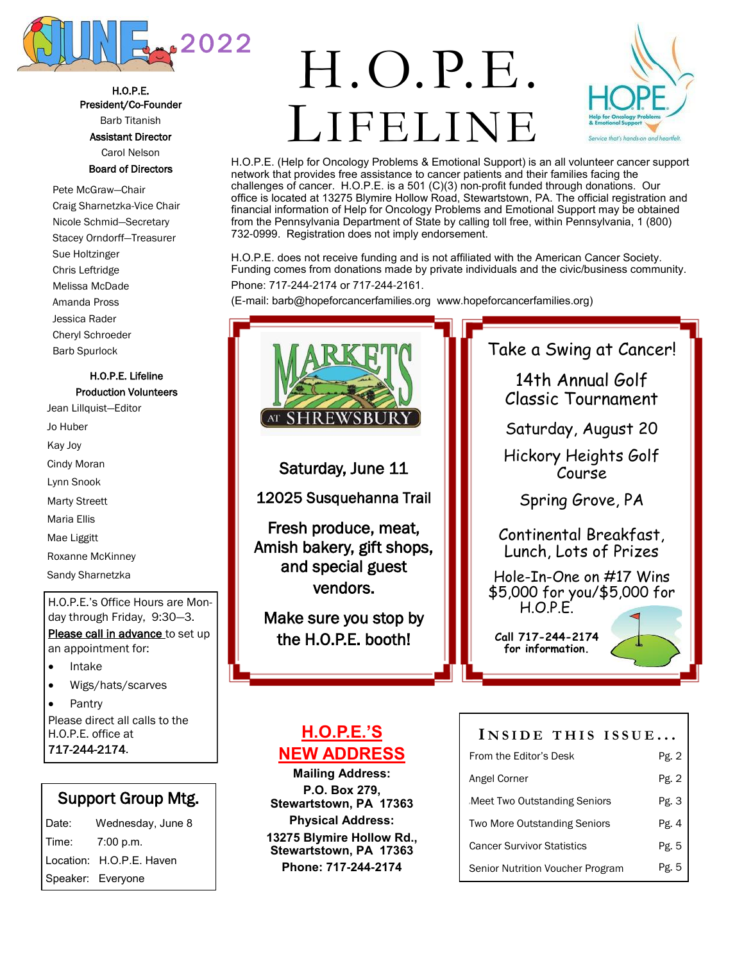

H.O.P.E. President/Co-Founder Barb Titanish

Assistant Director Carol Nelson

### Board of Directors

Pete McGraw—Chair Craig Sharnetzka-Vice Chair Nicole Schmid—Secretary Stacey Orndorff—Treasurer Sue Holtzinger Chris Leftridge Melissa McDade Amanda Pross Jessica Rader Cheryl Schroeder Barb Spurlock

### H.O.P.E. Lifeline Production Volunteers

Jean Lillquist—Editor Jo Huber Kay Joy Cindy Moran Lynn Snook Marty Streett Maria Ellis Mae Liggitt Roxanne McKinney Sandy Sharnetzka

H.O.P.E.'s Office Hours are Monday through Friday, 9:30—3. Please call in advance to set up an appointment for:

- Intake
- Wigs/hats/scarves
- **Pantry**

Please direct all calls to the H.O.P.E. office at 717-244-2174.

### Support Group Mtg.

| Wednesday, June 8        |
|--------------------------|
| 7:00 p.m.                |
| Location: H.O.P.E. Haven |
| Speaker: Everyone        |
|                          |

# LIFELINI H.O.P.E.



H.O.P.E. (Help for Oncology Problems & Emotional Support) is an all volunteer cancer support network that provides free assistance to cancer patients and their families facing the challenges of cancer. H.O.P.E. is a 501 (C)(3) non-profit funded through donations. Our office is located at 13275 Blymire Hollow Road, Stewartstown, PA. The official registration and financial information of Help for Oncology Problems and Emotional Support may be obtained from the Pennsylvania Department of State by calling toll free, within Pennsylvania, 1 (800) 732-0999. Registration does not imply endorsement.

H.O.P.E. does not receive funding and is not affiliated with the American Cancer Society. Funding comes from donations made by private individuals and the civic/business community. Phone: 717-244-2174 or 717-244-2161.

(E-mail: barb@hopeforcancerfamilies.org www.hopeforcancerfamilies.org)



Saturday, June 11

12025 Susquehanna Trail

Fresh produce, meat, Amish bakery, gift shops, and special guest vendors.

Make sure you stop by the H.O.P.E. booth!

### **H.O.P.E.'S NEW ADDRESS**

**Mailing Address: P.O. Box 279, Stewartstown, PA 17363 Physical Address: 13275 Blymire Hollow Rd., Stewartstown, PA 17363 Phone: 717-244-2174**

Take a Swing at Cancer!

14th Annual Golf Classic Tournament

Saturday, August 20

Hickory Heights Golf Course

Spring Grove, PA

Continental Breakfast, Lunch, Lots of Prizes

Hole-In-One on #17 Wins \$5,000 for you/\$5,000 for  $HOPF$ 

**Call 717-244-2174 for information.** 

Senior Nutrition Voucher Program

#### **I N S I D E T H I S I S S U E ...** From the Editor's Desk Angel Corner Meet Two Outstanding Seniors Two More Outstanding Seniors Cancer Survivor Statistics Pg. 2 Pg. 2 Pg. 3 Pg. 4 Pg. 5

Pg. 5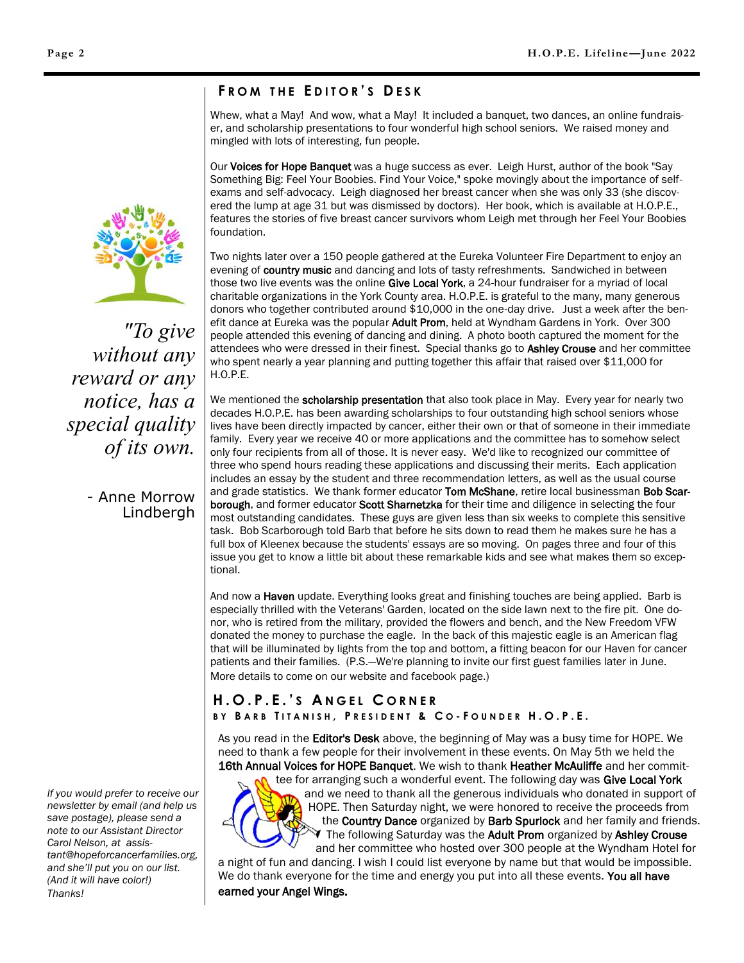### **F R O M T H E E D I T O R ' S D E S K**

Whew, what a May! And wow, what a May! It included a banquet, two dances, an online fundraiser, and scholarship presentations to four wonderful high school seniors. We raised money and mingled with lots of interesting, fun people.

Our Voices for Hope Banquet was a huge success as ever. Leigh Hurst, author of the book "Say Something Big: Feel Your Boobies. Find Your Voice," spoke movingly about the importance of selfexams and self-advocacy. Leigh diagnosed her breast cancer when she was only 33 (she discovered the lump at age 31 but was dismissed by doctors). Her book, which is available at H.O.P.E., features the stories of five breast cancer survivors whom Leigh met through her Feel Your Boobies foundation.

Two nights later over a 150 people gathered at the Eureka Volunteer Fire Department to enjoy an evening of country music and dancing and lots of tasty refreshments. Sandwiched in between those two live events was the online Give Local York, a 24-hour fundraiser for a myriad of local charitable organizations in the York County area. H.O.P.E. is grateful to the many, many generous donors who together contributed around \$10,000 in the one-day drive. Just a week after the benefit dance at Eureka was the popular Adult Prom, held at Wyndham Gardens in York. Over 300 people attended this evening of dancing and dining. A photo booth captured the moment for the attendees who were dressed in their finest. Special thanks go to Ashley Crouse and her committee who spent nearly a year planning and putting together this affair that raised over \$11,000 for H.O.P.E.

We mentioned the scholarship presentation that also took place in May. Every year for nearly two decades H.O.P.E. has been awarding scholarships to four outstanding high school seniors whose lives have been directly impacted by cancer, either their own or that of someone in their immediate family. Every year we receive 40 or more applications and the committee has to somehow select only four recipients from all of those. It is never easy. We'd like to recognized our committee of three who spend hours reading these applications and discussing their merits. Each application includes an essay by the student and three recommendation letters, as well as the usual course and grade statistics. We thank former educator Tom McShane, retire local businessman Bob Scarborough, and former educator Scott Sharnetzka for their time and diligence in selecting the four most outstanding candidates. These guys are given less than six weeks to complete this sensitive task. Bob Scarborough told Barb that before he sits down to read them he makes sure he has a full box of Kleenex because the students' essays are so moving. On pages three and four of this issue you get to know a little bit about these remarkable kids and see what makes them so exceptional.

And now a Haven update. Everything looks great and finishing touches are being applied. Barb is especially thrilled with the Veterans' Garden, located on the side lawn next to the fire pit. One donor, who is retired from the military, provided the flowers and bench, and the New Freedom VFW donated the money to purchase the eagle. In the back of this majestic eagle is an American flag that will be illuminated by lights from the top and bottom, a fitting beacon for our Haven for cancer patients and their families. (P.S.—We're planning to invite our first guest families later in June. More details to come on our website and facebook page.)

### **H . O . P . E . ' S A N G E L C O R N E R B Y B A R B T I T A N I S H , P R E S I D E N T & C O - F O U N D E R H . O . P . E .**

As you read in the **Editor's Desk** above, the beginning of May was a busy time for HOPE. We need to thank a few people for their involvement in these events. On May 5th we held the 16th Annual Voices for HOPE Banquet. We wish to thank Heather McAuliffe and her commit-



tee for arranging such a wonderful event. The following day was Give Local York and we need to thank all the generous individuals who donated in support of HOPE. Then Saturday night, we were honored to receive the proceeds from the Country Dance organized by Barb Spurlock and her family and friends. The following Saturday was the Adult Prom organized by Ashley Crouse and her committee who hosted over 300 people at the Wyndham Hotel for

a night of fun and dancing. I wish I could list everyone by name but that would be impossible. We do thank everyone for the time and energy you put into all these events. You all have earned your Angel Wings.



*"To give without any reward or any notice, has a special quality of its own.*

> - Anne Morrow Lindbergh

*If you would prefer to receive our newsletter by email (and help us save postage), please send a note to our Assistant Director Carol Nelson, at assistant@hopeforcancerfamilies.org, and she'll put you on our list. (And it will have color!) Thanks!*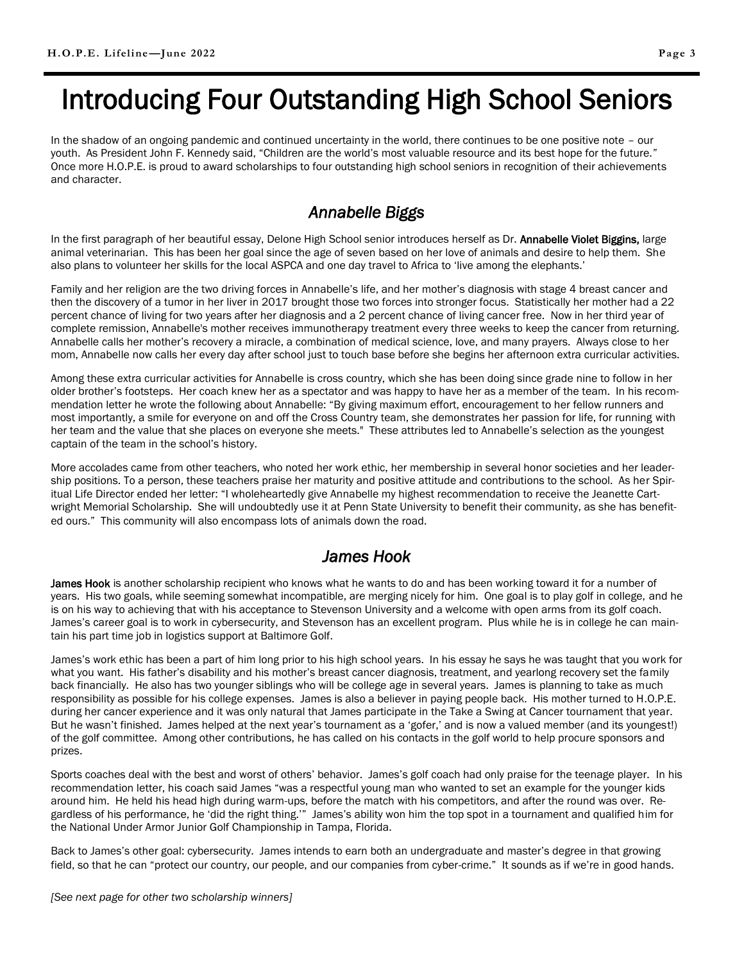# Introducing Four Outstanding High School Seniors

In the shadow of an ongoing pandemic and continued uncertainty in the world, there continues to be one positive note – our youth. As President John F. Kennedy said, "Children are the world's most valuable resource and its best hope for the future." Once more H.O.P.E. is proud to award scholarships to four outstanding high school seniors in recognition of their achievements and character.

### *Annabelle Biggs*

In the first paragraph of her beautiful essay, Delone High School senior introduces herself as Dr. Annabelle Violet Biggins, large animal veterinarian. This has been her goal since the age of seven based on her love of animals and desire to help them. She also plans to volunteer her skills for the local ASPCA and one day travel to Africa to 'live among the elephants.'

Family and her religion are the two driving forces in Annabelle's life, and her mother's diagnosis with stage 4 breast cancer and then the discovery of a tumor in her liver in 2017 brought those two forces into stronger focus. Statistically her mother had a 22 percent chance of living for two years after her diagnosis and a 2 percent chance of living cancer free. Now in her third year of complete remission, Annabelle's mother receives immunotherapy treatment every three weeks to keep the cancer from returning. Annabelle calls her mother's recovery a miracle, a combination of medical science, love, and many prayers. Always close to her mom, Annabelle now calls her every day after school just to touch base before she begins her afternoon extra curricular activities.

Among these extra curricular activities for Annabelle is cross country, which she has been doing since grade nine to follow in her older brother's footsteps. Her coach knew her as a spectator and was happy to have her as a member of the team. In his recommendation letter he wrote the following about Annabelle: "By giving maximum effort, encouragement to her fellow runners and most importantly, a smile for everyone on and off the Cross Country team, she demonstrates her passion for life, for running with her team and the value that she places on everyone she meets." These attributes led to Annabelle's selection as the youngest captain of the team in the school's history.

More accolades came from other teachers, who noted her work ethic, her membership in several honor societies and her leadership positions. To a person, these teachers praise her maturity and positive attitude and contributions to the school. As her Spiritual Life Director ended her letter: "I wholeheartedly give Annabelle my highest recommendation to receive the Jeanette Cartwright Memorial Scholarship. She will undoubtedly use it at Penn State University to benefit their community, as she has benefited ours." This community will also encompass lots of animals down the road.

### *James Hook*

James Hook is another scholarship recipient who knows what he wants to do and has been working toward it for a number of years. His two goals, while seeming somewhat incompatible, are merging nicely for him. One goal is to play golf in college, and he is on his way to achieving that with his acceptance to Stevenson University and a welcome with open arms from its golf coach. James's career goal is to work in cybersecurity, and Stevenson has an excellent program. Plus while he is in college he can maintain his part time job in logistics support at Baltimore Golf.

James's work ethic has been a part of him long prior to his high school years. In his essay he says he was taught that you work for what you want. His father's disability and his mother's breast cancer diagnosis, treatment, and yearlong recovery set the family back financially. He also has two younger siblings who will be college age in several years. James is planning to take as much responsibility as possible for his college expenses. James is also a believer in paying people back. His mother turned to H.O.P.E. during her cancer experience and it was only natural that James participate in the Take a Swing at Cancer tournament that year. But he wasn't finished. James helped at the next year's tournament as a 'gofer,' and is now a valued member (and its youngest!) of the golf committee. Among other contributions, he has called on his contacts in the golf world to help procure sponsors and prizes.

Sports coaches deal with the best and worst of others' behavior. James's golf coach had only praise for the teenage player. In his recommendation letter, his coach said James "was a respectful young man who wanted to set an example for the younger kids around him. He held his head high during warm-ups, before the match with his competitors, and after the round was over. Regardless of his performance, he 'did the right thing.'" James's ability won him the top spot in a tournament and qualified him for the National Under Armor Junior Golf Championship in Tampa, Florida.

Back to James's other goal: cybersecurity. James intends to earn both an undergraduate and master's degree in that growing field, so that he can "protect our country, our people, and our companies from cyber-crime." It sounds as if we're in good hands.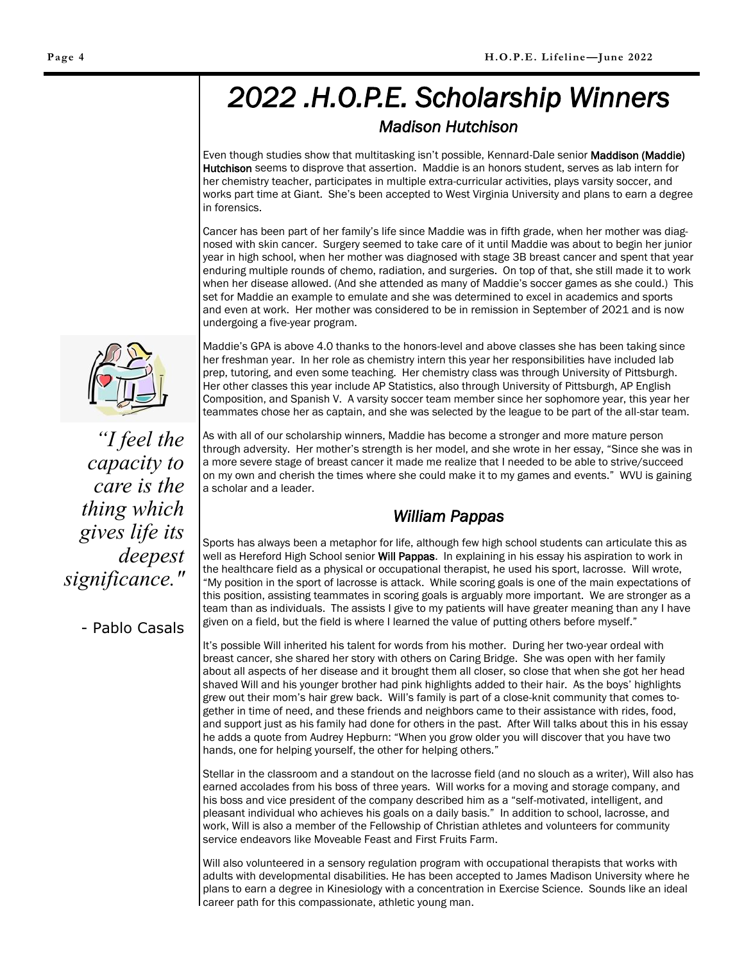## *2022 .H.O.P.E. Scholarship Winners Madison Hutchison*

Even though studies show that multitasking isn't possible, Kennard-Dale senior Maddison (Maddie) Hutchison seems to disprove that assertion. Maddie is an honors student, serves as lab intern for her chemistry teacher, participates in multiple extra-curricular activities, plays varsity soccer, and works part time at Giant. She's been accepted to West Virginia University and plans to earn a degree in forensics.

Cancer has been part of her family's life since Maddie was in fifth grade, when her mother was diagnosed with skin cancer. Surgery seemed to take care of it until Maddie was about to begin her junior year in high school, when her mother was diagnosed with stage 3B breast cancer and spent that year enduring multiple rounds of chemo, radiation, and surgeries. On top of that, she still made it to work when her disease allowed. (And she attended as many of Maddie's soccer games as she could.) This set for Maddie an example to emulate and she was determined to excel in academics and sports and even at work. Her mother was considered to be in remission in September of 2021 and is now undergoing a five-year program.

Maddie's GPA is above 4.0 thanks to the honors-level and above classes she has been taking since her freshman year. In her role as chemistry intern this year her responsibilities have included lab prep, tutoring, and even some teaching. Her chemistry class was through University of Pittsburgh. Her other classes this year include AP Statistics, also through University of Pittsburgh, AP English Composition, and Spanish V. A varsity soccer team member since her sophomore year, this year her teammates chose her as captain, and she was selected by the league to be part of the all-star team.

As with all of our scholarship winners, Maddie has become a stronger and more mature person through adversity. Her mother's strength is her model, and she wrote in her essay, "Since she was in a more severe stage of breast cancer it made me realize that I needed to be able to strive/succeed on my own and cherish the times where she could make it to my games and events." WVU is gaining a scholar and a leader.

### *William Pappas*

Sports has always been a metaphor for life, although few high school students can articulate this as well as Hereford High School senior Will Pappas. In explaining in his essay his aspiration to work in the healthcare field as a physical or occupational therapist, he used his sport, lacrosse. Will wrote, "My position in the sport of lacrosse is attack. While scoring goals is one of the main expectations of this position, assisting teammates in scoring goals is arguably more important. We are stronger as a team than as individuals. The assists I give to my patients will have greater meaning than any I have given on a field, but the field is where I learned the value of putting others before myself."

It's possible Will inherited his talent for words from his mother. During her two-year ordeal with breast cancer, she shared her story with others on Caring Bridge. She was open with her family about all aspects of her disease and it brought them all closer, so close that when she got her head shaved Will and his younger brother had pink highlights added to their hair. As the boys' highlights grew out their mom's hair grew back. Will's family is part of a close-knit community that comes together in time of need, and these friends and neighbors came to their assistance with rides, food, and support just as his family had done for others in the past. After Will talks about this in his essay he adds a quote from Audrey Hepburn: "When you grow older you will discover that you have two hands, one for helping yourself, the other for helping others."

Stellar in the classroom and a standout on the lacrosse field (and no slouch as a writer), Will also has earned accolades from his boss of three years. Will works for a moving and storage company, and his boss and vice president of the company described him as a "self-motivated, intelligent, and pleasant individual who achieves his goals on a daily basis." In addition to school, lacrosse, and work, Will is also a member of the Fellowship of Christian athletes and volunteers for community service endeavors like Moveable Feast and First Fruits Farm.

Will also volunteered in a sensory regulation program with occupational therapists that works with adults with developmental disabilities. He has been accepted to James Madison University where he plans to earn a degree in Kinesiology with a concentration in Exercise Science. Sounds like an ideal career path for this compassionate, athletic young man.



*"I feel the capacity to care is the thing which gives life its deepest significance."*

- Pablo Casals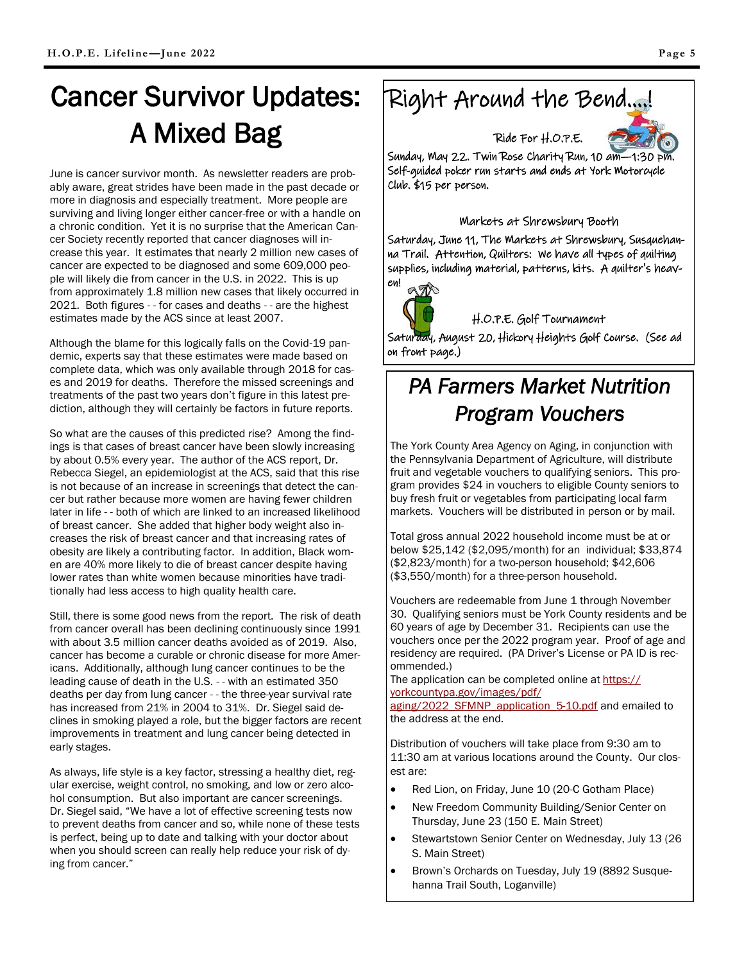June is cancer survivor month. As newsletter readers are probably aware, great strides have been made in the past decade or more in diagnosis and especially treatment. More people are surviving and living longer either cancer-free or with a handle on a chronic condition. Yet it is no surprise that the American Cancer Society recently reported that cancer diagnoses will increase this year. It estimates that nearly 2 million new cases of cancer are expected to be diagnosed and some 609,000 people will likely die from cancer in the U.S. in 2022. This is up from approximately 1.8 million new cases that likely occurred in 2021. Both figures - - for cases and deaths - - are the highest estimates made by the ACS since at least 2007.

Although the blame for this logically falls on the Covid-19 pandemic, experts say that these estimates were made based on complete data, which was only available through 2018 for cases and 2019 for deaths. Therefore the missed screenings and treatments of the past two years don't figure in this latest prediction, although they will certainly be factors in future reports.

So what are the causes of this predicted rise? Among the findings is that cases of breast cancer have been slowly increasing by about 0.5% every year. The author of the ACS report, Dr. Rebecca Siegel, an epidemiologist at the ACS, said that this rise is not because of an increase in screenings that detect the cancer but rather because more women are having fewer children later in life - - both of which are linked to an increased likelihood of breast cancer. She added that higher body weight also increases the risk of breast cancer and that increasing rates of obesity are likely a contributing factor. In addition, Black women are 40% more likely to die of breast cancer despite having lower rates than white women because minorities have traditionally had less access to high quality health care.

Still, there is some good news from the report. The risk of death from cancer overall has been declining continuously since 1991 with about 3.5 million cancer deaths avoided as of 2019. Also, cancer has become a curable or chronic disease for more Americans. Additionally, although lung cancer continues to be the leading cause of death in the U.S. - - with an estimated 350 deaths per day from lung cancer - - the three-year survival rate has increased from 21% in 2004 to 31%. Dr. Siegel said declines in smoking played a role, but the bigger factors are recent improvements in treatment and lung cancer being detected in early stages.

As always, life style is a key factor, stressing a healthy diet, regular exercise, weight control, no smoking, and low or zero alcohol consumption. But also important are cancer screenings. Dr. Siegel said, "We have a lot of effective screening tests now to prevent deaths from cancer and so, while none of these tests is perfect, being up to date and talking with your doctor about when you should screen can really help reduce your risk of dying from cancer."

# Right Around the Bend….!



Ride For H.O.P.E. Sunday, May 22. Twin Rose Charity Run, 10 am—1:30 pm. Self-guided poker run starts and ends at York Motorcycle

### Markets at Shrewsbury Booth

Saturday, June 11, The Markets at Shrewsbury, Susquehanna Trail. Attention, Quilters: We have all types of quilting supplies, including material, patterns, kits. A quilter's heaven!



Club. \$15 per person.

H.O.P.E. Golf Tournament

Saturday, August 20, Hickory Heights Golf Course. (See ad on front page.)

## *PA Farmers Market Nutrition Program Vouchers*

The York County Area Agency on Aging, in conjunction with the Pennsylvania Department of Agriculture, will distribute fruit and vegetable vouchers to qualifying seniors. This program provides \$24 in vouchers to eligible County seniors to buy fresh fruit or vegetables from participating local farm markets. Vouchers will be distributed in person or by mail.

Total gross annual 2022 household income must be at or below \$25,142 (\$2,095/month) for an individual; \$33,874 (\$2,823/month) for a two-person household; \$42,606 (\$3,550/month) for a three-person household.

Vouchers are redeemable from June 1 through November 30. Qualifying seniors must be York County residents and be 60 years of age by December 31. Recipients can use the vouchers once per the 2022 program year. Proof of age and residency are required. (PA Driver's License or PA ID is recommended.)

The application can be completed online at [https://](https://yorkcountypa.gov/images/pdf/aging/2022_SFMNP_application_5-10.pdf) [yorkcountypa.gov/images/pdf/](https://yorkcountypa.gov/images/pdf/aging/2022_SFMNP_application_5-10.pdf) [aging/2022\\_SFMNP\\_application\\_5-10.pdf](https://yorkcountypa.gov/images/pdf/aging/2022_SFMNP_application_5-10.pdf) and emailed to

the address at the end.

Distribution of vouchers will take place from 9:30 am to 11:30 am at various locations around the County. Our closest are:

- Red Lion, on Friday, June 10 (20-C Gotham Place)
- New Freedom Community Building/Senior Center on Thursday, June 23 (150 E. Main Street)
- Stewartstown Senior Center on Wednesday, July 13 (26 S. Main Street)
- Brown's Orchards on Tuesday, July 19 (8892 Susquehanna Trail South, Loganville)